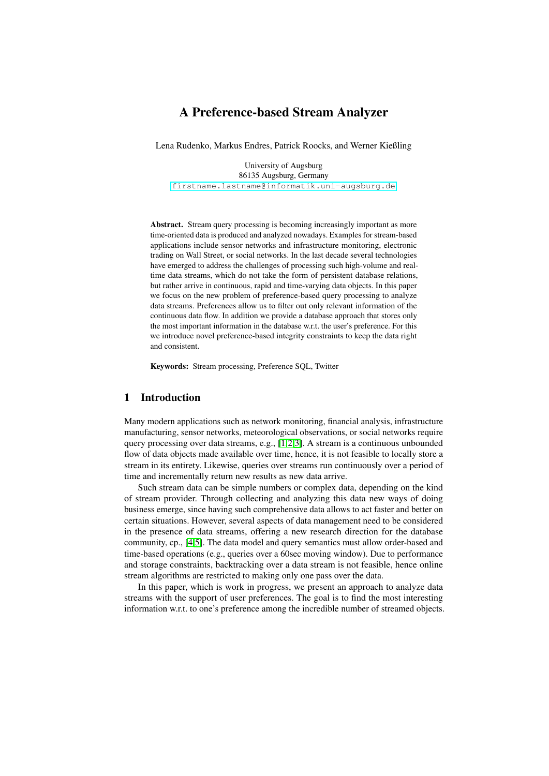# A Preference-based Stream Analyzer

Lena Rudenko, Markus Endres, Patrick Roocks, and Werner Kießling

University of Augsburg 86135 Augsburg, Germany <firstname.lastname@informatik.uni-augsburg.de>

Abstract. Stream query processing is becoming increasingly important as more time-oriented data is produced and analyzed nowadays. Examples for stream-based applications include sensor networks and infrastructure monitoring, electronic trading on Wall Street, or social networks. In the last decade several technologies have emerged to address the challenges of processing such high-volume and realtime data streams, which do not take the form of persistent database relations, but rather arrive in continuous, rapid and time-varying data objects. In this paper we focus on the new problem of preference-based query processing to analyze data streams. Preferences allow us to filter out only relevant information of the continuous data flow. In addition we provide a database approach that stores only the most important information in the database w.r.t. the user's preference. For this we introduce novel preference-based integrity constraints to keep the data right and consistent.

Keywords: Stream processing, Preference SQL, Twitter

# 1 Introduction

Many modern applications such as network monitoring, financial analysis, infrastructure manufacturing, sensor networks, meteorological observations, or social networks require query processing over data streams, e.g., [\[1,](#page-10-0)[2,](#page-10-1)[3\]](#page-10-2). A stream is a continuous unbounded flow of data objects made available over time, hence, it is not feasible to locally store a stream in its entirety. Likewise, queries over streams run continuously over a period of time and incrementally return new results as new data arrive.

Such stream data can be simple numbers or complex data, depending on the kind of stream provider. Through collecting and analyzing this data new ways of doing business emerge, since having such comprehensive data allows to act faster and better on certain situations. However, several aspects of data management need to be considered in the presence of data streams, offering a new research direction for the database community, cp., [\[4](#page-10-3)[,5\]](#page-10-4). The data model and query semantics must allow order-based and time-based operations (e.g., queries over a 60sec moving window). Due to performance and storage constraints, backtracking over a data stream is not feasible, hence online stream algorithms are restricted to making only one pass over the data.

In this paper, which is work in progress, we present an approach to analyze data streams with the support of user preferences. The goal is to find the most interesting information w.r.t. to one's preference among the incredible number of streamed objects.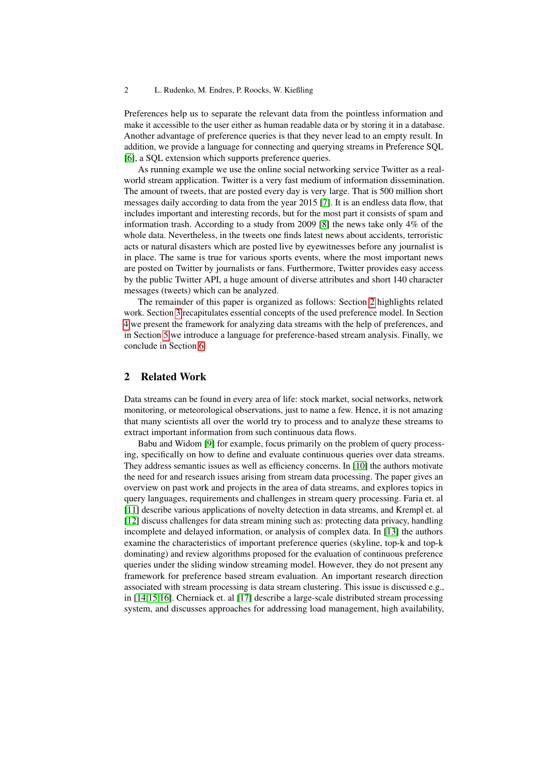Preferences help us to separate the relevant data from the pointless information and make it accessible to the user either as human readable data or by storing it in a database. Another advantage of preference queries is that they never lead to an empty result. In addition, we provide a language for connecting and querying streams in Preference SQL [\[6\]](#page-10-5), a SOL extension which supports preference queries.

As running example we use the online social networking service Twitter as a realworld stream application. Twitter is a very fast medium of information dissemination. The amount of tweets, that are posted every day is very large. That is 500 million short messages daily according to data from the year 2015 [\[7\]](#page-11-0). It is an endless data flow, that includes important and interesting records, but for the most part it consists of spam and information trash. According to a study from 2009 [\[8\]](#page-11-1) the news take only 4% of the whole data. Nevertheless, in the tweets one finds latest news about accidents, terroristic acts or natural disasters which are posted live by eyewitnesses before any journalist is in place. The same is true for various sports events, where the most important news are posted on Twitter by journalists or fans. Furthermore, Twitter provides easy access by the public Twitter API, a huge amount of diverse attributes and short 140 character messages (tweets) which can be analyzed.

The remainder of this paper is organized as follows: Section [2](#page-1-0) highlights related work. Section [3](#page-2-0) recapitulates essential concepts of the used preference model. In Section [4](#page-4-0) we present the framework for analyzing data streams with the help of preferences, and in Section [5](#page-6-0) we introduce a language for preference-based stream analysis. Finally, we conclude in Section [6.](#page-10-6)

# <span id="page-1-0"></span>2 Related Work

Data streams can be found in every area of life: stock market, social networks, network monitoring, or meteorological observations, just to name a few. Hence, it is not amazing that many scientists all over the world try to process and to analyze these streams to extract important information from such continuous data flows.

Babu and Widom [\[9\]](#page-11-2) for example, focus primarily on the problem of query processing, specifically on how to define and evaluate continuous queries over data streams. They address semantic issues as well as efficiency concerns. In [\[10\]](#page-11-3) the authors motivate the need for and research issues arising from stream data processing. The paper gives an overview on past work and projects in the area of data streams, and explores topics in query languages, requirements and challenges in stream query processing. Faria et. al [\[11\]](#page-11-4) describe various applications of novelty detection in data streams, and Krempl et. al [\[12\]](#page-11-5) discuss challenges for data stream mining such as: protecting data privacy, handling incomplete and delayed information, or analysis of complex data. In [\[13\]](#page-11-6) the authors examine the characteristics of important preference queries (skyline, top-k and top-k dominating) and review algorithms proposed for the evaluation of continuous preference queries under the sliding window streaming model. However, they do not present any framework for preference based stream evaluation. An important research direction associated with stream processing is data stream clustering. This issue is discussed e.g., in [\[14](#page-11-7)[,15,](#page-11-8)[16\]](#page-11-9). Cherniack et. al [\[17\]](#page-11-10) describe a large-scale distributed stream processing system, and discusses approaches for addressing load management, high availability,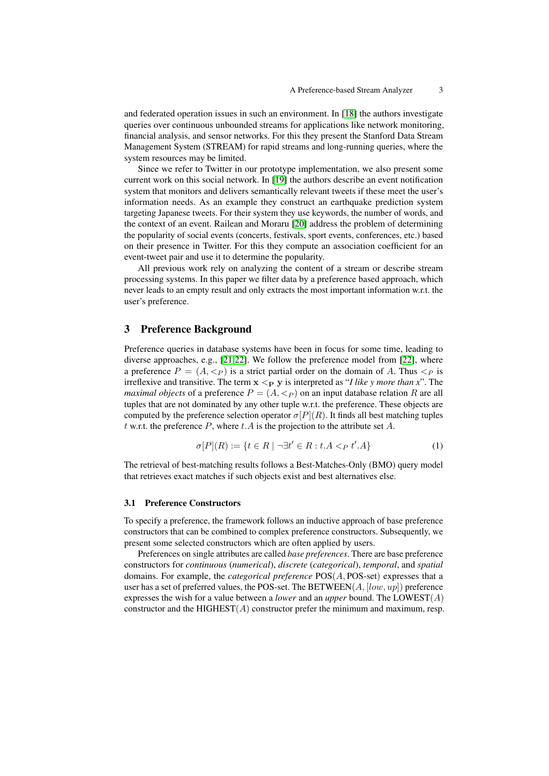and federated operation issues in such an environment. In [\[18\]](#page-11-11) the authors investigate queries over continuous unbounded streams for applications like network monitoring, financial analysis, and sensor networks. For this they present the Stanford Data Stream Management System (STREAM) for rapid streams and long-running queries, where the system resources may be limited.

Since we refer to Twitter in our prototype implementation, we also present some current work on this social network. In [\[19\]](#page-11-12) the authors describe an event notification system that monitors and delivers semantically relevant tweets if these meet the user's information needs. As an example they construct an earthquake prediction system targeting Japanese tweets. For their system they use keywords, the number of words, and the context of an event. Railean and Moraru [\[20\]](#page-11-13) address the problem of determining the popularity of social events (concerts, festivals, sport events, conferences, etc.) based on their presence in Twitter. For this they compute an association coefficient for an event-tweet pair and use it to determine the popularity.

All previous work rely on analyzing the content of a stream or describe stream processing systems. In this paper we filter data by a preference based approach, which never leads to an empty result and only extracts the most important information w.r.t. the user's preference.

# <span id="page-2-0"></span>3 Preference Background

Preference queries in database systems have been in focus for some time, leading to diverse approaches, e.g., [\[21,](#page-11-14)[22\]](#page-11-15). We follow the preference model from [\[22\]](#page-11-15), where a preference  $P = (A, \langle p \rangle)$  is a strict partial order on the domain of A. Thus  $\langle p \rangle$  is irreflexive and transitive. The term  $x <_{P} y$  is interpreted as "*I like y more than x*". The *maximal objects* of a preference  $P = (A, \langle P \rangle)$  on an input database relation R are all tuples that are not dominated by any other tuple w.r.t. the preference. These objects are computed by the preference selection operator  $\sigma[P](R)$ . It finds all best matching tuples t w.r.t. the preference P, where t.A is the projection to the attribute set A.

$$
\sigma[P](R) := \{ t \in R \mid \neg \exists t' \in R : t.A <_{P} t'.A \} \tag{1}
$$

The retrieval of best-matching results follows a Best-Matches-Only (BMO) query model that retrieves exact matches if such objects exist and best alternatives else.

# 3.1 Preference Constructors

To specify a preference, the framework follows an inductive approach of base preference constructors that can be combined to complex preference constructors. Subsequently, we present some selected constructors which are often applied by users.

Preferences on single attributes are called *base preferences*. There are base preference constructors for *continuous* (*numerical*), *discrete* (*categorical*), *temporal*, and *spatial* domains. For example, the *categorical preference* POS(A, POS-set) expresses that a user has a set of preferred values, the POS-set. The BETWEEN( $A$ , [low, up]) preference expresses the wish for a value between a *lower* and an *upper* bound. The LOWEST(A) constructor and the HIGHEST $(A)$  constructor prefer the minimum and maximum, resp.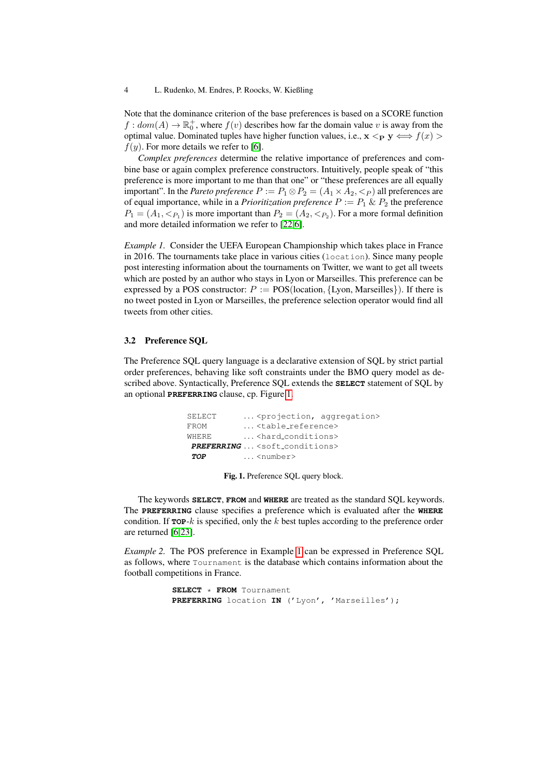Note that the dominance criterion of the base preferences is based on a SCORE function  $f: dom(A) \to \mathbb{R}_0^+$ , where  $f(v)$  describes how far the domain value v is away from the optimal value. Dominated tuples have higher function values, i.e.,  $\mathbf{x} \leq_{\mathbf{P}} \mathbf{y} \iff f(x) >$  $f(y)$ . For more details we refer to [\[6\]](#page-10-5).

*Complex preferences* determine the relative importance of preferences and combine base or again complex preference constructors. Intuitively, people speak of "this preference is more important to me than that one" or "these preferences are all equally important". In the *Pareto preference*  $P := P_1 \otimes P_2 = (A_1 \times A_2, \langle P \rangle)$  all preferences are of equal importance, while in a *Prioritization preference*  $P := P_1 \& P_2$  the preference  $P_1 = (A_1, <_{P_1})$  is more important than  $P_2 = (A_2, <_{P_2})$ . For a more formal definition and more detailed information we refer to [\[22,](#page-11-15)[6\]](#page-10-5).

<span id="page-3-1"></span>*Example 1.* Consider the UEFA European Championship which takes place in France in 2016. The tournaments take place in various cities (location). Since many people post interesting information about the tournaments on Twitter, we want to get all tweets which are posted by an author who stays in Lyon or Marseilles. This preference can be expressed by a POS constructor:  $P := \text{POS}(\text{location}, \{\text{Lvon}, \text{Marseilles}\})$ . If there is no tweet posted in Lyon or Marseilles, the preference selection operator would find all tweets from other cities.

## 3.2 Preference SQL

The Preference SQL query language is a declarative extension of SQL by strict partial order preferences, behaving like soft constraints under the BMO query model as described above. Syntactically, Preference SQL extends the **SELECT** statement of SQL by an optional **PREFERRING** clause, cp. Figure [1.](#page-3-0)

| SELECT | <projection, aggregation=""></projection,>     |  |
|--------|------------------------------------------------|--|
| FROM   | <table_reference></table_reference>            |  |
| WHERE. | <hard_conditions></hard_conditions>            |  |
|        | PREFERRING <soft_conditions></soft_conditions> |  |
| TOP    | $\ldots$ <number></number>                     |  |

<span id="page-3-2"></span>Fig. 1. Preference SQL query block.

<span id="page-3-0"></span>The keywords **SELECT**, **FROM** and **WHERE** are treated as the standard SQL keywords. The **PREFERRING** clause specifies a preference which is evaluated after the **WHERE** condition. If  $\texttt{TOP-}k$  is specified, only the k best tuples according to the preference order are returned [\[6](#page-10-5)[,23\]](#page-11-16).

*Example 2.* The POS preference in Example [1](#page-3-1) can be expressed in Preference SQL as follows, where Tournament is the database which contains information about the football competitions in France.

> **SELECT** \* **FROM** Tournament **PREFERRING** location **IN** ('Lyon', 'Marseilles');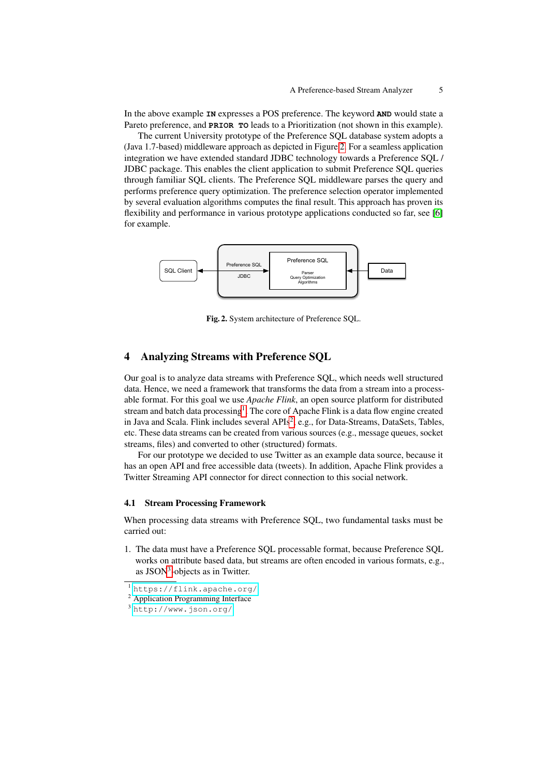In the above example **IN** expresses a POS preference. The keyword **AND** would state a Pareto preference, and **PRIOR TO** leads to a Prioritization (not shown in this example).

The current University prototype of the Preference SQL database system adopts a (Java 1.7-based) middleware approach as depicted in Figure [2.](#page-4-1) For a seamless application integration we have extended standard JDBC technology towards a Preference SQL / JDBC package. This enables the client application to submit Preference SQL queries through familiar SQL clients. The Preference SQL middleware parses the query and performs preference query optimization. The preference selection operator implemented by several evaluation algorithms computes the final result. This approach has proven its flexibility and performance in various prototype applications conducted so far, see [\[6\]](#page-10-5) for example.



<span id="page-4-1"></span>Fig. 2. System architecture of Preference SQL.

# <span id="page-4-0"></span>4 Analyzing Streams with Preference SQL

Our goal is to analyze data streams with Preference SQL, which needs well structured data. Hence, we need a framework that transforms the data from a stream into a processable format. For this goal we use *Apache Flink*, an open source platform for distributed stream and batch data processing<sup>[1](#page-4-2)</sup>. The core of Apache Flink is a data flow engine created in Java and Scala. Flink includes several APIs<sup>[2](#page-4-3)</sup>, e.g., for Data-Streams, DataSets, Tables, etc. These data streams can be created from various sources (e.g., message queues, socket streams, files) and converted to other (structured) formats.

For our prototype we decided to use Twitter as an example data source, because it has an open API and free accessible data (tweets). In addition, Apache Flink provides a Twitter Streaming API connector for direct connection to this social network.

### 4.1 Stream Processing Framework

When processing data streams with Preference SQL, two fundamental tasks must be carried out:

1. The data must have a Preference SQL processable format, because Preference SQL works on attribute based data, but streams are often encoded in various formats, e.g., as JSON<sup>[3](#page-4-4)</sup>-objects as in Twitter.

<span id="page-4-3"></span><sup>2</sup> Application Programming Interface

<span id="page-4-2"></span><sup>1</sup> <https://flink.apache.org/>

<span id="page-4-4"></span><sup>3</sup> <http://www.json.org/>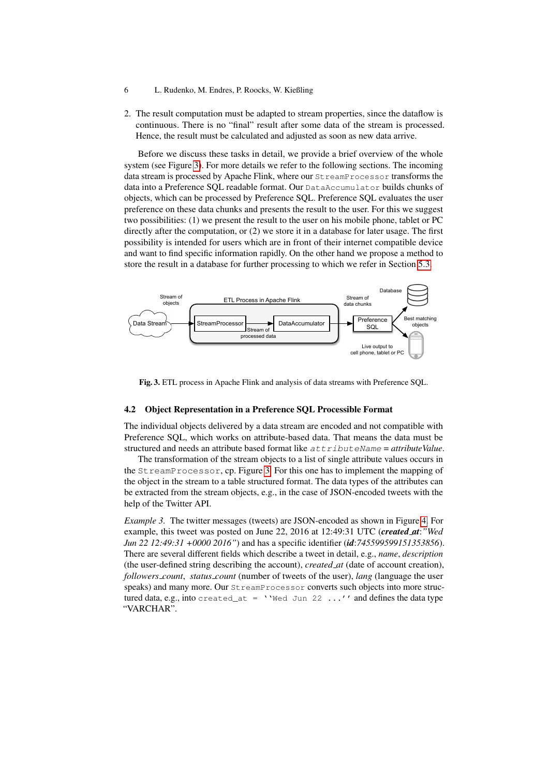- 6 L. Rudenko, M. Endres, P. Roocks, W. Kießling
- 2. The result computation must be adapted to stream properties, since the dataflow is continuous. There is no "final" result after some data of the stream is processed. Hence, the result must be calculated and adjusted as soon as new data arrive.

Before we discuss these tasks in detail, we provide a brief overview of the whole system (see Figure [3\)](#page-5-0). For more details we refer to the following sections. The incoming data stream is processed by Apache Flink, where our StreamProcessor transforms the data into a Preference SQL readable format. Our DataAccumulator builds chunks of objects, which can be processed by Preference SQL. Preference SQL evaluates the user preference on these data chunks and presents the result to the user. For this we suggest two possibilities: (1) we present the result to the user on his mobile phone, tablet or PC directly after the computation, or (2) we store it in a database for later usage. The first possibility is intended for users which are in front of their internet compatible device and want to find specific information rapidly. On the other hand we propose a method to store the result in a database for further processing to which we refer in Section [5.3.](#page-9-0)



<span id="page-5-0"></span>Fig. 3. ETL process in Apache Flink and analysis of data streams with Preference SQL.

## <span id="page-5-1"></span>4.2 Object Representation in a Preference SQL Processible Format

The individual objects delivered by a data stream are encoded and not compatible with Preference SQL, which works on attribute-based data. That means the data must be structured and needs an attribute based format like  $attribute$ National  $=$  attributeValue.

The transformation of the stream objects to a list of single attribute values occurs in the StreamProcessor, cp. Figure [3.](#page-5-0) For this one has to implement the mapping of the object in the stream to a table structured format. The data types of the attributes can be extracted from the stream objects, e.g., in the case of JSON-encoded tweets with the help of the Twitter API.

*Example 3.* The twitter messages (tweets) are JSON-encoded as shown in Figure [4.](#page-6-1) For example, this tweet was posted on June 22, 2016 at 12:49:31 UTC (*created at*:*"Wed Jun 22 12:49:31 +0000 2016"*) and has a specific identifier (*id*:*745599599151353856*). There are several different fields which describe a tweet in detail, e.g., *name*, *description* (the user-defined string describing the account), *created at* (date of account creation), *followers count*, *status count* (number of tweets of the user), *lang* (language the user speaks) and many more. Our StreamProcessor converts such objects into more structured data, e.g., into created\_at = ''Wed Jun 22 ...'' and defines the data type "VARCHAR".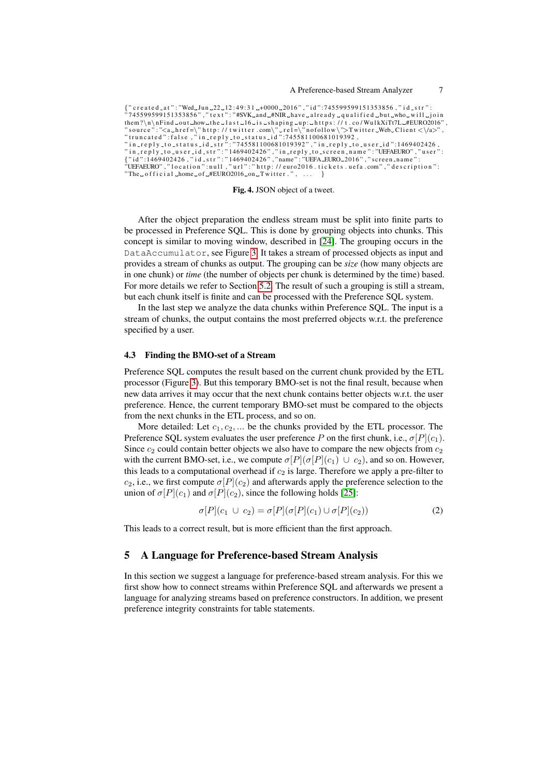```
{ " created _at": "Wed_Jun _22_12:49:31 _+0000 _2016", "id":745599599151353856, "id_str":
 ^3745599599151353856" ," text":"#SVK_and_#NIR_have_already_qualified_but_who_will_join
them?\n\nFind_out_how_the_last_16_is_shaping_up:_https://t.co/WulkXiTt7L_#EURO2016","<br>"source":"<a_href=\"http://twitter.com\"_rel=\"nofollow\">Twitter_Web_Client <\/a>",<br>"truncated":false,"in_reply_to_status_id":745581100
"The <math>\sim</math> of <math>\text{fixed\_home\_of\_HEURO2016\_on\_Twitter."}</math>, ...
```
Fig. 4. JSON object of a tweet.

<span id="page-6-1"></span>After the object preparation the endless stream must be split into finite parts to be processed in Preference SQL. This is done by grouping objects into chunks. This concept is similar to moving window, described in [\[24\]](#page-11-17). The grouping occurs in the DataAccumulator, see Figure [3.](#page-5-0) It takes a stream of processed objects as input and provides a stream of chunks as output. The grouping can be *size* (how many objects are in one chunk) or *time* (the number of objects per chunk is determined by the time) based. For more details we refer to Section [5.2.](#page-8-0) The result of such a grouping is still a stream, but each chunk itself is finite and can be processed with the Preference SQL system.

In the last step we analyze the data chunks within Preference SQL. The input is a stream of chunks, the output contains the most preferred objects w.r.t. the preference specified by a user.

#### 4.3 Finding the BMO-set of a Stream

Preference SQL computes the result based on the current chunk provided by the ETL processor (Figure [3\)](#page-5-0). But this temporary BMO-set is not the final result, because when new data arrives it may occur that the next chunk contains better objects w.r.t. the user preference. Hence, the current temporary BMO-set must be compared to the objects from the next chunks in the ETL process, and so on.

More detailed: Let  $c_1, c_2, \ldots$  be the chunks provided by the ETL processor. The Preference SQL system evaluates the user preference P on the first chunk, i.e.,  $\sigma[P](c_1)$ . Since  $c_2$  could contain better objects we also have to compare the new objects from  $c_2$ with the current BMO-set, i.e., we compute  $\sigma[P](\sigma[P](c_1) \cup c_2)$ , and so on. However, this leads to a computational overhead if  $c_2$  is large. Therefore we apply a pre-filter to  $c_2$ , i.e., we first compute  $\sigma[P](c_2)$  and afterwards apply the preference selection to the union of  $\sigma[P](c_1)$  and  $\sigma[P](c_2)$ , since the following holds [\[25\]](#page-11-18):

$$
\sigma[P](c_1 \cup c_2) = \sigma[P](\sigma[P](c_1) \cup \sigma[P](c_2)) \tag{2}
$$

This leads to a correct result, but is more efficient than the first approach.

# <span id="page-6-0"></span>5 A Language for Preference-based Stream Analysis

In this section we suggest a language for preference-based stream analysis. For this we first show how to connect streams within Preference SQL and afterwards we present a language for analyzing streams based on preference constructors. In addition, we present preference integrity constraints for table statements.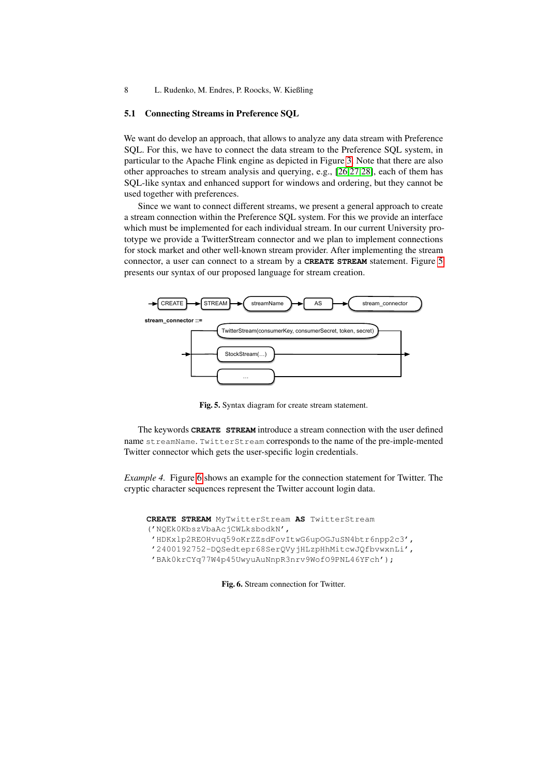## <span id="page-7-2"></span>5.1 Connecting Streams in Preference SQL

We want do develop an approach, that allows to analyze any data stream with Preference SQL. For this, we have to connect the data stream to the Preference SQL system, in particular to the Apache Flink engine as depicted in Figure [3.](#page-5-0) Note that there are also other approaches to stream analysis and querying, e.g., [\[26](#page-11-19)[,27](#page-11-20)[,28\]](#page-11-21), each of them has SQL-like syntax and enhanced support for windows and ordering, but they cannot be used together with preferences.

Since we want to connect different streams, we present a general approach to create a stream connection within the Preference SQL system. For this we provide an interface which must be implemented for each individual stream. In our current University prototype we provide a TwitterStream connector and we plan to implement connections for stock market and other well-known stream provider. After implementing the stream connector, a user can connect to a stream by a **CREATE STREAM** statement. Figure [5](#page-7-0) presents our syntax of our proposed language for stream creation.



<span id="page-7-0"></span>Fig. 5. Syntax diagram for create stream statement.

The keywords **CREATE STREAM** introduce a stream connection with the user defined name streamName. TwitterStream corresponds to the name of the pre-imple-mented Twitter connector which gets the user-specific login credentials.

*Example 4.* Figure [6](#page-7-1) shows an example for the connection statement for Twitter. The cryptic character sequences represent the Twitter account login data.

```
CREATE STREAM MyTwitterStream AS TwitterStream
('NQEk0KbszVbaAcjCWLksbodkN',
'HDKxlp2REOHvuq59oKrZZsdFovItwG6upOGJuSN4btr6npp2c3',
'2400192752-DQSedtepr68SerQVyjHLzpHhMitcwJQfbvwxnLi',
 'BAk0krCYq77W4p45UwyuAuNnpR3nrv9WofO9PNL46YFch');
```
Fig. 6. Stream connection for Twitter.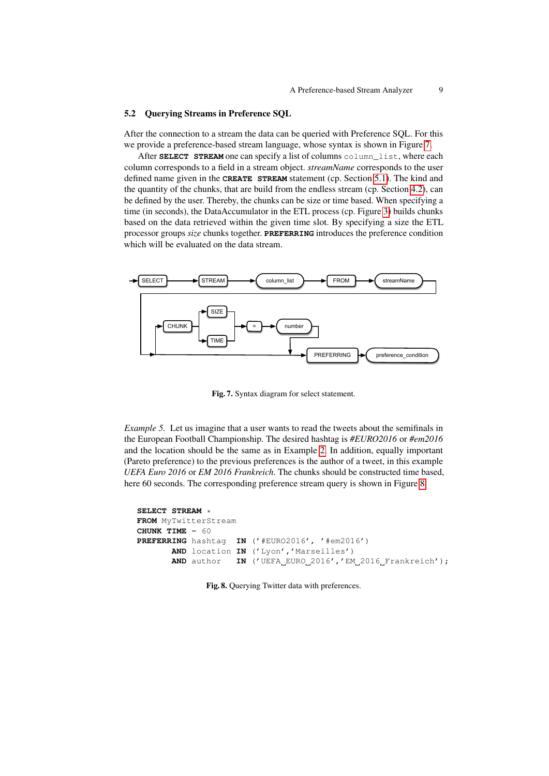### <span id="page-8-0"></span>5.2 Querying Streams in Preference SQL

After the connection to a stream the data can be queried with Preference SQL. For this we provide a preference-based stream language, whose syntax is shown in Figure [7.](#page-8-1)

After **SELECT** STREAM one can specify a list of columns column\_list, where each column corresponds to a field in a stream object. *streamName* corresponds to the user defined name given in the **CREATE STREAM** statement (cp. Section [5.1\)](#page-7-2). The kind and the quantity of the chunks, that are build from the endless stream (cp. Section [4.2\)](#page-5-1), can be defined by the user. Thereby, the chunks can be size or time based. When specifying a time (in seconds), the DataAccumulator in the ETL process (cp. Figure [3\)](#page-5-0) builds chunks based on the data retrieved within the given time slot. By specifying a size the ETL processor groups *size* chunks together. **PREFERRING** introduces the preference condition which will be evaluated on the data stream.



<span id="page-8-1"></span>Fig. 7. Syntax diagram for select statement.

<span id="page-8-3"></span>*Example 5.* Let us imagine that a user wants to read the tweets about the semifinals in the European Football Championship. The desired hashtag is *#EURO2016* or *#em2016* and the location should be the same as in Example [2.](#page-3-2) In addition, equally important (Pareto preference) to the previous preferences is the author of a tweet, in this example *UEFA Euro 2016* or *EM 2016 Frankreich*. The chunks should be constructed time based, here 60 seconds. The corresponding preference stream query is shown in Figure [8.](#page-8-2)

```
SELECT STREAM *
FROM MyTwitterStream
CHUNK TIME = 60
PREFERRING hashtag IN ('#EURO2016', '#em2016')
       AND location IN ('Lyon','Marseilles')
       AND author IN ('UEFA EURO 2016', 'EM 2016 Frankreich');
```
Fig. 8. Querying Twitter data with preferences.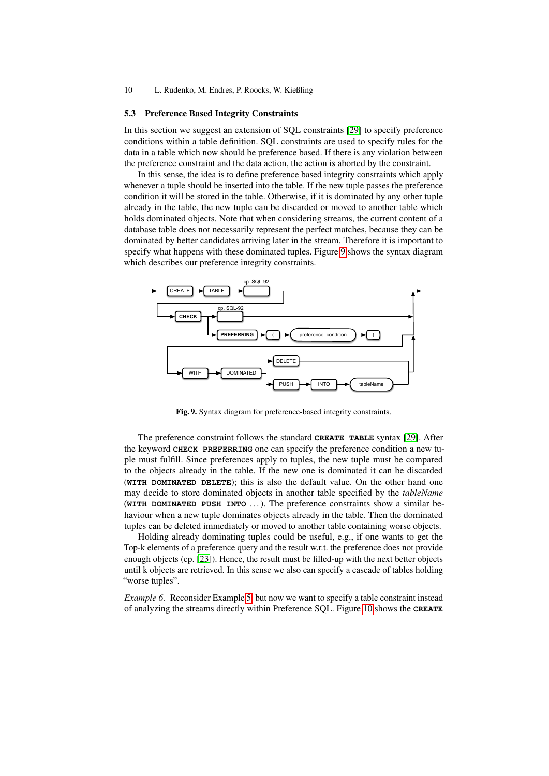### <span id="page-9-0"></span>5.3 Preference Based Integrity Constraints

In this section we suggest an extension of SQL constraints [\[29\]](#page-11-22) to specify preference conditions within a table definition. SQL constraints are used to specify rules for the data in a table which now should be preference based. If there is any violation between the preference constraint and the data action, the action is aborted by the constraint.

In this sense, the idea is to define preference based integrity constraints which apply whenever a tuple should be inserted into the table. If the new tuple passes the preference condition it will be stored in the table. Otherwise, if it is dominated by any other tuple already in the table, the new tuple can be discarded or moved to another table which holds dominated objects. Note that when considering streams, the current content of a database table does not necessarily represent the perfect matches, because they can be dominated by better candidates arriving later in the stream. Therefore it is important to specify what happens with these dominated tuples. Figure [9](#page-9-1) shows the syntax diagram which describes our preference integrity constraints.



<span id="page-9-1"></span>Fig. 9. Syntax diagram for preference-based integrity constraints.

The preference constraint follows the standard **CREATE TABLE** syntax [\[29\]](#page-11-22). After the keyword **CHECK PREFERRING** one can specify the preference condition a new tuple must fulfill. Since preferences apply to tuples, the new tuple must be compared to the objects already in the table. If the new one is dominated it can be discarded (**WITH DOMINATED DELETE**); this is also the default value. On the other hand one may decide to store dominated objects in another table specified by the *tableName* (**WITH DOMINATED PUSH INTO** . . . ). The preference constraints show a similar behaviour when a new tuple dominates objects already in the table. Then the dominated tuples can be deleted immediately or moved to another table containing worse objects.

Holding already dominating tuples could be useful, e.g., if one wants to get the Top-k elements of a preference query and the result w.r.t. the preference does not provide enough objects (cp. [\[23\]](#page-11-16)). Hence, the result must be filled-up with the next better objects until k objects are retrieved. In this sense we also can specify a cascade of tables holding "worse tuples".

*Example 6.* Reconsider Example [5,](#page-8-3) but now we want to specify a table constraint instead of analyzing the streams directly within Preference SQL. Figure [10](#page-10-7) shows the **CREATE**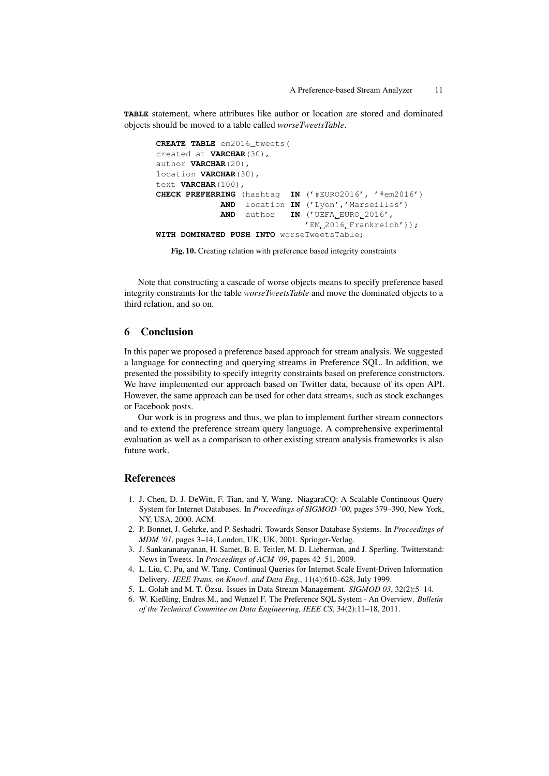**TABLE** statement, where attributes like author or location are stored and dominated objects should be moved to a table called *worseTweetsTable*.

```
CREATE TABLE em2016_tweets(
created_at VARCHAR(30),
author VARCHAR(20),
location VARCHAR(30),
text VARCHAR(100),
CHECK PREFERRING (hashtag IN ('#EURO2016', '#em2016')
            AND location IN ('Lyon','Marseilles')
            AND author IN ('UEFA EURO 2016',
                              'EM 2016 Frankreich'));
WITH DOMINATED PUSH INTO worseTweetsTable;
```
Fig. 10. Creating relation with preference based integrity constraints

<span id="page-10-7"></span>Note that constructing a cascade of worse objects means to specify preference based integrity constraints for the table *worseTweetsTable* and move the dominated objects to a third relation, and so on.

# <span id="page-10-6"></span>6 Conclusion

In this paper we proposed a preference based approach for stream analysis. We suggested a language for connecting and querying streams in Preference SQL. In addition, we presented the possibility to specify integrity constraints based on preference constructors. We have implemented our approach based on Twitter data, because of its open API. However, the same approach can be used for other data streams, such as stock exchanges or Facebook posts.

Our work is in progress and thus, we plan to implement further stream connectors and to extend the preference stream query language. A comprehensive experimental evaluation as well as a comparison to other existing stream analysis frameworks is also future work.

# References

- <span id="page-10-0"></span>1. J. Chen, D. J. DeWitt, F. Tian, and Y. Wang. NiagaraCQ: A Scalable Continuous Query System for Internet Databases. In *Proceedings of SIGMOD '00*, pages 379–390, New York, NY, USA, 2000. ACM.
- <span id="page-10-1"></span>2. P. Bonnet, J. Gehrke, and P. Seshadri. Towards Sensor Database Systems. In *Proceedings of MDM '01*, pages 3–14, London, UK, UK, 2001. Springer-Verlag.
- <span id="page-10-2"></span>3. J. Sankaranarayanan, H. Samet, B. E. Teitler, M. D. Lieberman, and J. Sperling. Twitterstand: News in Tweets. In *Proceedings of ACM '09*, pages 42–51, 2009.
- <span id="page-10-3"></span>4. L. Liu, C. Pu, and W. Tang. Continual Queries for Internet Scale Event-Driven Information Delivery. *IEEE Trans. on Knowl. and Data Eng.*, 11(4):610–628, July 1999.
- <span id="page-10-4"></span>5. L. Golab and M. T. Özsu. Issues in Data Stream Management. *SIGMOD 03*, 32(2):5-14.
- <span id="page-10-5"></span>6. W. Kießling, Endres M., and Wenzel F. The Preference SQL System - An Overview. *Bulletin of the Technical Commitee on Data Engineering, IEEE CS*, 34(2):11–18, 2011.